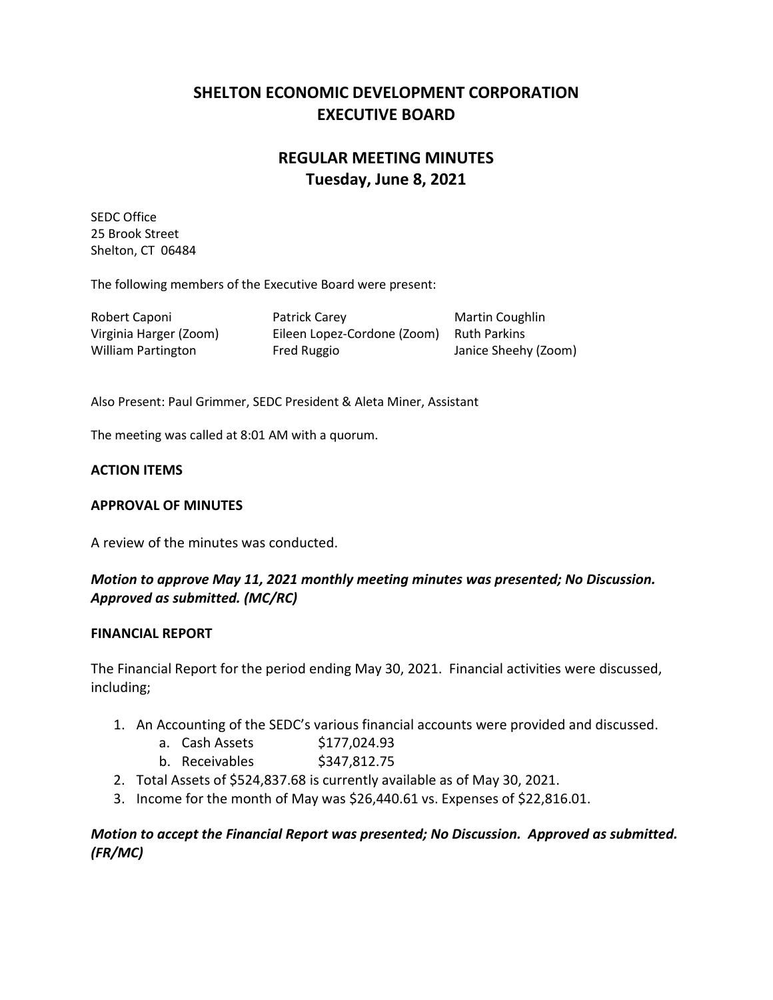# **SHELTON ECONOMIC DEVELOPMENT CORPORATION EXECUTIVE BOARD**

# **REGULAR MEETING MINUTES Tuesday, June 8, 2021**

SEDC Office 25 Brook Street Shelton, CT 06484

The following members of the Executive Board were present:

| Robert Caponi             | Patrick Carey               | Martin Coughlin      |
|---------------------------|-----------------------------|----------------------|
| Virginia Harger (Zoom)    | Eileen Lopez-Cordone (Zoom) | Ruth Parkins         |
| <b>William Partington</b> | Fred Ruggio                 | Janice Sheehy (Zoom) |

Also Present: Paul Grimmer, SEDC President & Aleta Miner, Assistant

The meeting was called at 8:01 AM with a quorum.

### **ACTION ITEMS**

### **APPROVAL OF MINUTES**

A review of the minutes was conducted.

## *Motion to approve May 11, 2021 monthly meeting minutes was presented; No Discussion. Approved as submitted. (MC/RC)*

#### **FINANCIAL REPORT**

The Financial Report for the period ending May 30, 2021. Financial activities were discussed, including;

- 1. An Accounting of the SEDC's various financial accounts were provided and discussed.
	- a. Cash Assets \$177,024.93
	- b. Receivables \$347,812.75
- 2. Total Assets of \$524,837.68 is currently available as of May 30, 2021.
- 3. Income for the month of May was \$26,440.61 vs. Expenses of \$22,816.01.

## *Motion to accept the Financial Report was presented; No Discussion. Approved as submitted. (FR/MC)*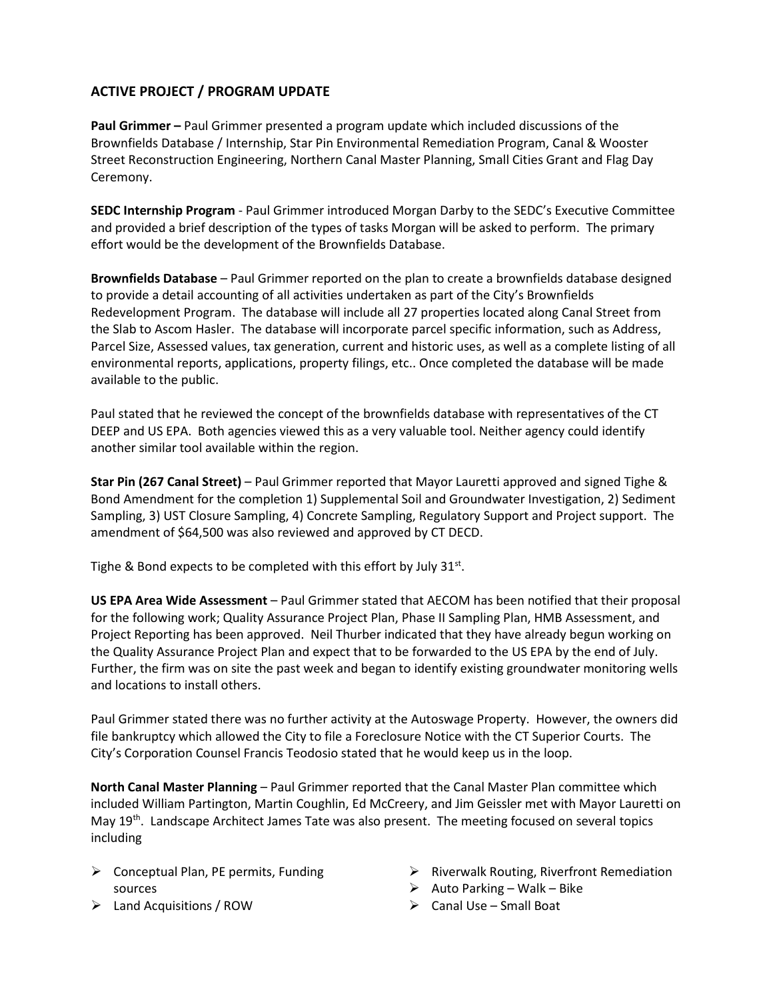## **ACTIVE PROJECT / PROGRAM UPDATE**

**Paul Grimmer –** Paul Grimmer presented a program update which included discussions of the Brownfields Database / Internship, Star Pin Environmental Remediation Program, Canal & Wooster Street Reconstruction Engineering, Northern Canal Master Planning, Small Cities Grant and Flag Day Ceremony.

**SEDC Internship Program** - Paul Grimmer introduced Morgan Darby to the SEDC's Executive Committee and provided a brief description of the types of tasks Morgan will be asked to perform. The primary effort would be the development of the Brownfields Database.

**Brownfields Database** – Paul Grimmer reported on the plan to create a brownfields database designed to provide a detail accounting of all activities undertaken as part of the City's Brownfields Redevelopment Program. The database will include all 27 properties located along Canal Street from the Slab to Ascom Hasler. The database will incorporate parcel specific information, such as Address, Parcel Size, Assessed values, tax generation, current and historic uses, as well as a complete listing of all environmental reports, applications, property filings, etc.. Once completed the database will be made available to the public.

Paul stated that he reviewed the concept of the brownfields database with representatives of the CT DEEP and US EPA. Both agencies viewed this as a very valuable tool. Neither agency could identify another similar tool available within the region.

**Star Pin (267 Canal Street)** – Paul Grimmer reported that Mayor Lauretti approved and signed Tighe & Bond Amendment for the completion 1) Supplemental Soil and Groundwater Investigation, 2) Sediment Sampling, 3) UST Closure Sampling, 4) Concrete Sampling, Regulatory Support and Project support. The amendment of \$64,500 was also reviewed and approved by CT DECD.

Tighe & Bond expects to be completed with this effort by July  $31^{st}$ .

**US EPA Area Wide Assessment** – Paul Grimmer stated that AECOM has been notified that their proposal for the following work; Quality Assurance Project Plan, Phase II Sampling Plan, HMB Assessment, and Project Reporting has been approved. Neil Thurber indicated that they have already begun working on the Quality Assurance Project Plan and expect that to be forwarded to the US EPA by the end of July. Further, the firm was on site the past week and began to identify existing groundwater monitoring wells and locations to install others.

Paul Grimmer stated there was no further activity at the Autoswage Property. However, the owners did file bankruptcy which allowed the City to file a Foreclosure Notice with the CT Superior Courts. The City's Corporation Counsel Francis Teodosio stated that he would keep us in the loop.

**North Canal Master Planning** – Paul Grimmer reported that the Canal Master Plan committee which included William Partington, Martin Coughlin, Ed McCreery, and Jim Geissler met with Mayor Lauretti on May 19<sup>th</sup>. Landscape Architect James Tate was also present. The meeting focused on several topics including

- $\triangleright$  Conceptual Plan, PE permits, Funding sources
- $\triangleright$  Land Acquisitions / ROW
- $\triangleright$  Riverwalk Routing, Riverfront Remediation
- $\triangleright$  Auto Parking Walk Bike
- $\triangleright$  Canal Use Small Boat